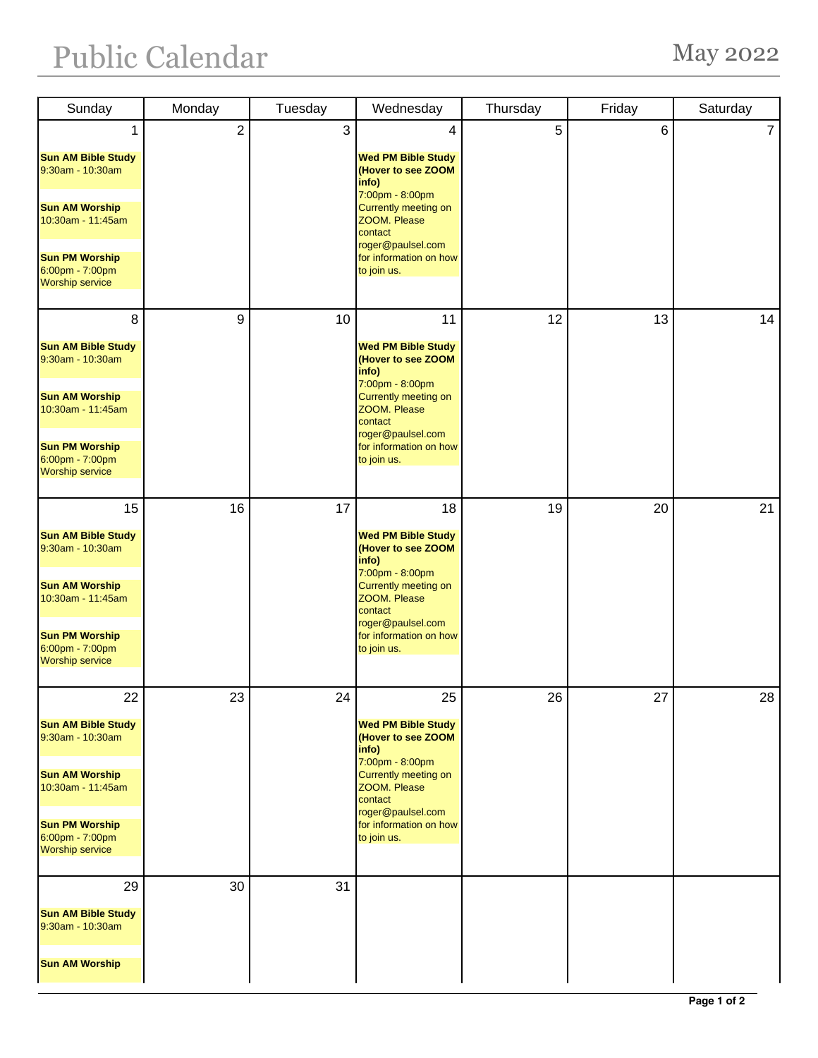## Public Calendar May 2022

| Sunday                                                             | Monday           | Tuesday | Wednesday                                                                   | Thursday | Friday | Saturday       |
|--------------------------------------------------------------------|------------------|---------|-----------------------------------------------------------------------------|----------|--------|----------------|
| 1                                                                  | $\boldsymbol{2}$ | 3       | 4                                                                           | 5        | 6      | $\overline{7}$ |
| <b>Sun AM Bible Study</b><br>9:30am - 10:30am                      |                  |         | <b>Wed PM Bible Study</b><br>(Hover to see ZOOM<br>info)<br>7:00pm - 8:00pm |          |        |                |
| <b>Sun AM Worship</b><br>10:30am - 11:45am                         |                  |         | Currently meeting on<br>ZOOM. Please<br>contact<br>roger@paulsel.com        |          |        |                |
| <b>Sun PM Worship</b><br>6:00pm - 7:00pm<br><b>Worship service</b> |                  |         | for information on how<br>to join us.                                       |          |        |                |
| 8                                                                  | 9                | 10      | 11                                                                          | 12       | 13     | 14             |
| <b>Sun AM Bible Study</b><br>9:30am - 10:30am                      |                  |         | <b>Wed PM Bible Study</b><br>(Hover to see ZOOM<br>info)<br>7:00pm - 8:00pm |          |        |                |
| <b>Sun AM Worship</b><br>10:30am - 11:45am                         |                  |         | Currently meeting on<br>ZOOM. Please<br>contact                             |          |        |                |
| <b>Sun PM Worship</b><br>6:00pm - 7:00pm<br><b>Worship service</b> |                  |         | roger@paulsel.com<br>for information on how<br>to join us.                  |          |        |                |
| 15                                                                 | 16               | 17      | 18                                                                          | 19       | 20     | 21             |
| <b>Sun AM Bible Study</b><br>9:30am - 10:30am                      |                  |         | <b>Wed PM Bible Study</b><br>(Hover to see ZOOM<br>info)<br>7:00pm - 8:00pm |          |        |                |
| <b>Sun AM Worship</b><br>10:30am - 11:45am                         |                  |         | Currently meeting on<br>ZOOM. Please<br>contact<br>roger@paulsel.com        |          |        |                |
| <b>Sun PM Worship</b><br>6:00pm - 7:00pm<br><b>Worship service</b> |                  |         | for information on how<br>to join us.                                       |          |        |                |
| 22                                                                 | 23               | 24      | 25                                                                          | 26       | 27     | 28             |
| <b>Sun AM Bible Study</b><br>9:30am - 10:30am                      |                  |         | <b>Wed PM Bible Study</b><br>(Hover to see ZOOM<br>info)<br>7:00pm - 8:00pm |          |        |                |
| <b>Sun AM Worship</b><br>10:30am - 11:45am                         |                  |         | Currently meeting on<br>ZOOM. Please<br>contact<br>roger@paulsel.com        |          |        |                |
| <b>Sun PM Worship</b><br>6:00pm - 7:00pm<br><b>Worship service</b> |                  |         | for information on how<br>to join us.                                       |          |        |                |
| 29                                                                 | 30               | 31      |                                                                             |          |        |                |
| <b>Sun AM Bible Study</b><br>9:30am - 10:30am                      |                  |         |                                                                             |          |        |                |
| <b>Sun AM Worship</b>                                              |                  |         |                                                                             |          |        |                |